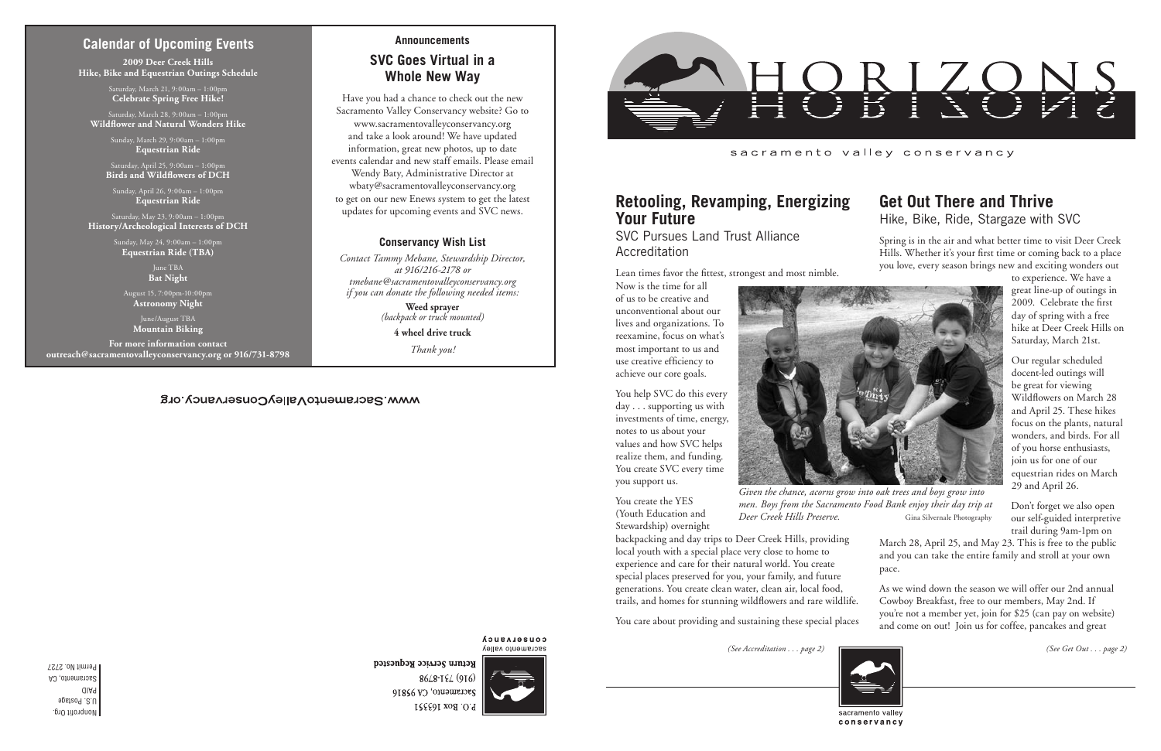#### sacramento valley conservancy



*Given the chance, acorns grow into oak trees and boys grow into men. Boys from the Sacramento Food Bank enjoy their day trip at Deer Creek Hills Preserve.* Gina Silvernale Photography

## **Calendar of Upcoming Events**

SVC Pursues Land Trust Alliance **Accreditation** 

## **Retooling, Revamping, Energizing Your Future**

Lean times favor the fittest, strongest and most nimble.

Now is the time for all of us to be creative and unconventional about our lives and organizations. To reexamine, focus on what's most important to us and use creative efficiency to achieve our core goals.

You help SVC do this every day . . . supporting us with investments of time, energy, notes to us about your values and how SVC helps realize them, and funding. You create SVC every time

you support us.

You create the YES (Youth Education and Stewardship) overnight

backpacking and day trips to Deer Creek Hills, providing local youth with a special place very close to home to experience and care for their natural world. You create special places preserved for you, your family, and future generations. You create clean water, clean air, local food, trails, and homes for stunning wildflowers and rare wildlife.

You care about providing and sustaining these special places

## **Get Out There and Thrive** Hike, Bike, Ride, Stargaze with SVC

Spring is in the air and what better time to visit Deer Creek Hills. Whether it's your first time or coming back to a place you love, every season brings new and exciting wonders out

> to experience. We have a great line-up of outings in 2009. Celebrate the first day of spring with a free hike at Deer Creek Hills on Saturday, March 21st.

Our regular scheduled docent-led outings will be great for viewing Wildflowers on March 28 and April 25. These hikes focus on the plants, natural wonders, and birds. For all of you horse enthusiasts, join us for one of our equestrian rides on March 29 and April 26.

Don't forget we also open our self-guided interpretive trail during 9am-1pm on

March 28, April 25, and May 23. This is free to the public and you can take the entire family and stroll at your own pace.

As we wind down the season we will offer our 2nd annual Cowboy Breakfast, free to our members, May 2nd. If you're not a member yet, join for \$25 (can pay on website) and come on out! Join us for coffee, pancakes and great

conservancy

*(See Accreditation . . . page 2) (See Get Out . . . page 2)*



## **Announcements SVC Goes Virtual in a Whole New Way**

Have you had a chance to check out the new Sacramento Valley Conservancy website? Go to www.sacramentovalleyconservancy.org and take a look around! We have updated information, great new photos, up to date events calendar and new staff emails. Please email Wendy Baty, Administrative Director at wbaty@sacramentovalleyconservancy.org to get on our new Enews system to get the latest updates for upcoming events and SVC news.

#### **Conservancy Wish List**

*Contact Tammy Mebane, Stewardship Director, at 916/216-2178 or tmebane@sacramentovalleyconservancy.org if you can donate the following needed items:*

> **Weed sprayer** *(backpack or truck mounted)*

> > **4 wheel drive truck**

*Thank you!*

#### **COUSELASUCA** sacramento valley

Return Service Requested 8648-194 (916) Sacramento, CA 95816 P.O. Box 163551



**2009 Deer Creek Hills Hike, Bike and Equestrian Outings Schedule**

> Saturday, March 21, 9:00am – 1:00pm **Celebrate Spring Free Hike!**

Saturday, March 28, 9:00am – 1:00pm **Wildflower and Natural Wonders Hike**

> Sunday, March 29, 9:00am – 1:00pm **Equestrian Ride**

Saturday, April 25, 9:00am – 1:00pm **Birds and Wildflowers of DCH**

Sunday, April 26, 9:00am – 1:00pm **Equestrian Ride**

Saturday, May 23, 9:00am – 1:00pm **History/Archeological Interests of DCH**

> Sunday, May 24, 9:00am – 1:00pm **Equestrian Ride (TBA)**

> > June TBA **Bat Night**

August 15, 7:00pm-10:00pm **Astronomy Night**

> June/August TBA **Mountain Biking**

**For more information contact outreach@sacramentovalleyconservancy.org or 916/731-8798**

#### WWW.SacramentoValleyConservancy.org